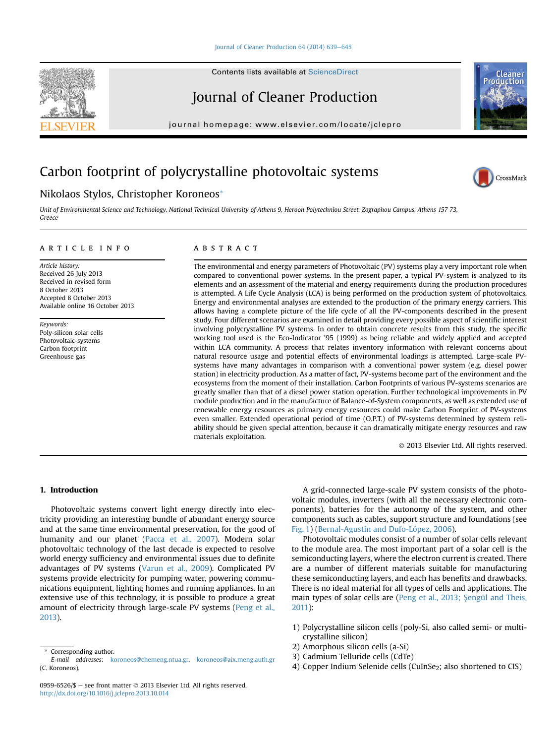#### [Journal of Cleaner Production 64 \(2014\) 639](http://dx.doi.org/10.1016/j.jclepro.2013.10.014)-[645](http://dx.doi.org/10.1016/j.jclepro.2013.10.014)

Contents lists available at ScienceDirect

# Journal of Cleaner Production

journal homepage: [www.elsevier.com/locate/jclepro](http://www.elsevier.com/locate/jclepro)

# Carbon footprint of polycrystalline photovoltaic systems

# Nikolaos Stylos, Christopher Koroneos\*

Unit of Environmental Science and Technology, National Technical University of Athens 9, Heroon Polytechniou Street, Zographou Campus, Athens 157 73, Greece

#### article info

Article history: Received 26 July 2013 Received in revised form 8 October 2013 Accepted 8 October 2013 Available online 16 October 2013

Keywords: Poly-silicon solar cells Photovoltaic-systems Carbon footprint Greenhouse gas

## ABSTRACT

The environmental and energy parameters of Photovoltaic (PV) systems play a very important role when compared to conventional power systems. In the present paper, a typical PV-system is analyzed to its elements and an assessment of the material and energy requirements during the production procedures is attempted. A Life Cycle Analysis (LCA) is being performed on the production system of photovoltaics. Energy and environmental analyses are extended to the production of the primary energy carriers. This allows having a complete picture of the life cycle of all the PV-components described in the present study. Four different scenarios are examined in detail providing every possible aspect of scientific interest involving polycrystalline PV systems. In order to obtain concrete results from this study, the specific working tool used is the Eco-Indicator '95 (1999) as being reliable and widely applied and accepted within LCA community. A process that relates inventory information with relevant concerns about natural resource usage and potential effects of environmental loadings is attempted. Large-scale PVsystems have many advantages in comparison with a conventional power system (e.g. diesel power station) in electricity production. As a matter of fact, PV-systems become part of the environment and the ecosystems from the moment of their installation. Carbon Footprints of various PV-systems scenarios are greatly smaller than that of a diesel power station operation. Further technological improvements in PV module production and in the manufacture of Balance-of-System components, as well as extended use of renewable energy resources as primary energy resources could make Carbon Footprint of PV-systems even smaller. Extended operational period of time (O.P.T.) of PV-systems determined by system reliability should be given special attention, because it can dramatically mitigate energy resources and raw materials exploitation.

2013 Elsevier Ltd. All rights reserved.

### 1. Introduction

Photovoltaic systems convert light energy directly into electricity providing an interesting bundle of abundant energy source and at the same time environmental preservation, for the good of humanity and our planet (Pacca et al., 2007). Modern solar photovoltaic technology of the last decade is expected to resolve world energy sufficiency and environmental issues due to definite advantages of PV systems (Varun et al., 2009). Complicated PV systems provide electricity for pumping water, powering communications equipment, lighting homes and running appliances. In an extensive use of this technology, it is possible to produce a great amount of electricity through large-scale PV systems (Peng et al., 2013).

A grid-connected large-scale PV system consists of the photovoltaic modules, inverters (with all the necessary electronic components), batteries for the autonomy of the system, and other components such as cables, support structure and foundations (see Fig. 1) (Bernal-Agustín and Dufo-López, 2006).

Photovoltaic modules consist of a number of solar cells relevant to the module area. The most important part of a solar cell is the semiconducting layers, where the electron current is created. There are a number of different materials suitable for manufacturing these semiconducting layers, and each has benefits and drawbacks. There is no ideal material for all types of cells and applications. The main types of solar cells are (Peng et al., 2013; Sengül and Theis, 2011):

- 1) Polycrystalline silicon cells (poly-Si, also called semi- or multicrystalline silicon)
- 2) Amorphous silicon cells (a-Si)
- 3) Cadmium Telluride cells (CdTe)
- 4) Copper Indium Selenide cells (CuInSe<sub>2</sub>; also shortened to CIS)





CrossMark

Corresponding author.

E-mail addresses: [koroneos@chemeng.ntua.gr,](mailto:koroneos@chemeng.ntua.gr) [koroneos@aix.meng.auth.gr](mailto:koroneos@aix.meng.auth.gr) (C. Koroneos).

<sup>0959-6526/\$ -</sup> see front matter  $\odot$  2013 Elsevier Ltd. All rights reserved. <http://dx.doi.org/10.1016/j.jclepro.2013.10.014>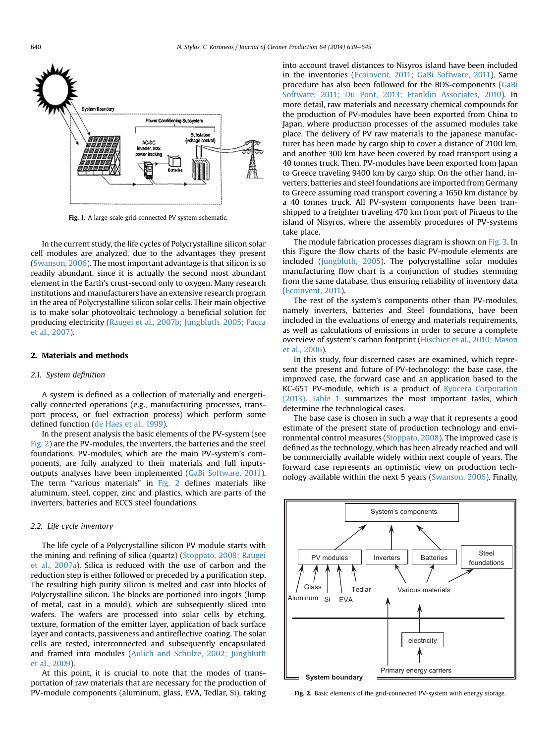

Fig. 1. A large-scale grid-connected PV system schematic.

In the current study, the life cycles of Polycrystalline silicon solar cell modules are analyzed, due to the advantages they present (Swanson, 2006). The most important advantage is that silicon is so readily abundant, since it is actually the second most abundant element in the Earth's crust-second only to oxygen. Many research institutions and manufacturers have an extensive research program in the area of Polycrystalline silicon solar cells. Their main objective is to make solar photovoltaic technology a beneficial solution for producing electricity (Raugei et al., 2007b; Jungbluth, 2005; Pacca et al., 2007).

#### 2. Materials and methods

#### 2.1. System definition

A system is defined as a collection of materially and energetically connected operations (e.g., manufacturing processes, transport process, or fuel extraction process) which perform some defined function (de Haes et al., 1999).

In the present analysis the basic elements of the PV-system (see Fig. 2) are the PV-modules, the inverters, the batteries and the steel foundations. PV-modules, which are the main PV-system's components, are fully analyzed to their materials and full inputsoutputs analyses have been implemented (GaBi Software, 2011). The term "various materials" in Fig. 2 defines materials like aluminum, steel, copper, zinc and plastics, which are parts of the inverters, batteries and ECCS steel foundations.

## 2.2. Life cycle inventory

The life cycle of a Polycrystalline silicon PV module starts with the mining and refining of silica (quartz) (Stoppato, 2008; Raugei et al., 2007a). Silica is reduced with the use of carbon and the reduction step is either followed or preceded by a purification step. The resulting high purity silicon is melted and cast into blocks of Polycrystalline silicon. The blocks are portioned into ingots (lump of metal, cast in a mould), which are subsequently sliced into wafers. The wafers are processed into solar cells by etching, texture, formation of the emitter layer, application of back surface layer and contacts, passiveness and antireflective coating. The solar cells are tested, interconnected and subsequently encapsulated and framed into modules (Aulich and Schulze, 2002; Jungbluth et al., 2009).

At this point, it is crucial to note that the modes of transportation of raw materials that are necessary for the production of PV-module components (aluminum, glass, EVA, Tedlar, Si), taking

into account travel distances to Nisyros island have been included in the inventories (Ecoinvent, 2011; GaBi Software, 2011). Same procedure has also been followed for the BOS-components (GaBi Software, 2011; Du Pont, 2013; Franklin Associates, 2010). In more detail, raw materials and necessary chemical compounds for the production of PV-modules have been exported from China to Japan, where production processes of the assumed modules take place. The delivery of PV raw materials to the japanese manufacturer has been made by cargo ship to cover a distance of 2100 km, and another 300 km have been covered by road transport using a 40 tonnes truck. Then, PV-modules have been exported from Japan to Greece traveling 9400 km by cargo ship. On the other hand, inverters, batteries and steel foundations are imported from Germany to Greece assuming road transport covering a 1650 km distance by a 40 tonnes truck. All PV-system components have been transhipped to a freighter traveling 470 km from port of Piraeus to the island of Nisyros, where the assembly procedures of PV-systems take place.

The module fabrication processes diagram is shown on Fig. 3. In this Figure the flow charts of the basic PV-module elements are included (Jungbluth, 2005). The polycrystalline solar modules manufacturing flow chart is a conjunction of studies stemming from the same database, thus ensuring reliability of inventory data (Ecoinvent, 2011).

The rest of the system's components other than PV-modules, namely inverters, batteries and Steel foundations, have been included in the evaluations of energy and materials requirements, as well as calculations of emissions in order to secure a complete overview of system's carbon footprint (Hischier et al., 2010; Mason et al., 2006).

In this study, four discerned cases are examined, which represent the present and future of PV-technology: the base case, the improved case, the forward case and an application based to the KC-65T PV-module, which is a product of Kyocera Corporation (2013). Table 1 summarizes the most important tasks, which determine the technological cases.

The base case is chosen in such a way that it represents a good estimate of the present state of production technology and environmental control measures (Stoppato, 2008). The improved case is defined as the technology, which has been already reached and will be commercially available widely within next couple of years. The forward case represents an optimistic view on production technology available within the next 5 years (Swanson, 2006). Finally,



Fig. 2. Basic elements of the grid-connected PV-system with energy storage.